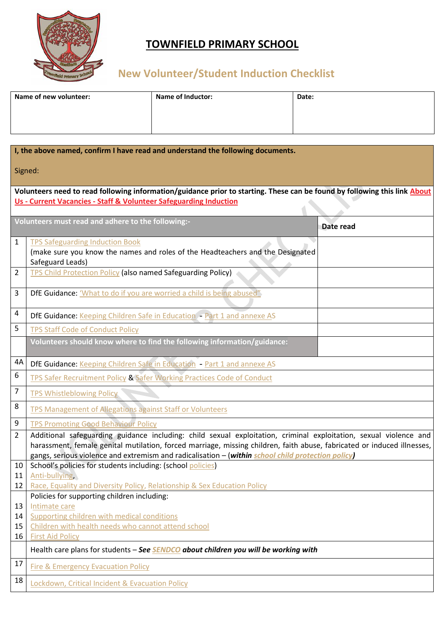

## **TOWNFIELD PRIMARY SCHOOL**

# **New Volunteer/Student Induction Checklist**

| Name of new volunteer: | <b>Name of Inductor:</b> | Date: |
|------------------------|--------------------------|-------|
|                        |                          |       |
|                        |                          |       |

|                                                                                                                                                                                                | I, the above named, confirm I have read and understand the following documents.                                                                                                                                                                                                                                                                    |  |  |  |
|------------------------------------------------------------------------------------------------------------------------------------------------------------------------------------------------|----------------------------------------------------------------------------------------------------------------------------------------------------------------------------------------------------------------------------------------------------------------------------------------------------------------------------------------------------|--|--|--|
| Signed:                                                                                                                                                                                        |                                                                                                                                                                                                                                                                                                                                                    |  |  |  |
| Volunteers need to read following information/guidance prior to starting. These can be found by following this link About<br>Us - Current Vacancies - Staff & Volunteer Safeguarding Induction |                                                                                                                                                                                                                                                                                                                                                    |  |  |  |
|                                                                                                                                                                                                |                                                                                                                                                                                                                                                                                                                                                    |  |  |  |
|                                                                                                                                                                                                | Volunteers must read and adhere to the following:-<br>Date read                                                                                                                                                                                                                                                                                    |  |  |  |
| 1                                                                                                                                                                                              | <b>TPS Safeguarding Induction Book</b>                                                                                                                                                                                                                                                                                                             |  |  |  |
|                                                                                                                                                                                                | (make sure you know the names and roles of the Headteachers and the Designated<br>Safeguard Leads)                                                                                                                                                                                                                                                 |  |  |  |
| 2                                                                                                                                                                                              | <b>TPS Child Protection Policy (also named Safeguarding Policy)</b>                                                                                                                                                                                                                                                                                |  |  |  |
| 3                                                                                                                                                                                              | DfE Guidance: 'What to do if you are worried a child is being abused"                                                                                                                                                                                                                                                                              |  |  |  |
| 4                                                                                                                                                                                              | DfE Guidance: Keeping Children Safe in Education - Part 1 and annexe AS                                                                                                                                                                                                                                                                            |  |  |  |
| 5                                                                                                                                                                                              | <b>TPS Staff Code of Conduct Policy</b>                                                                                                                                                                                                                                                                                                            |  |  |  |
|                                                                                                                                                                                                | Volunteers should know where to find the following information/guidance:                                                                                                                                                                                                                                                                           |  |  |  |
| 4A                                                                                                                                                                                             | DfE Guidance: Keeping Children Safe in Education - Part 1 and annexe AS                                                                                                                                                                                                                                                                            |  |  |  |
| 6                                                                                                                                                                                              | TPS Safer Recruitment Policy & Safer Working Practices Code of Conduct                                                                                                                                                                                                                                                                             |  |  |  |
| 7                                                                                                                                                                                              | <b>TPS Whistleblowing Policy</b>                                                                                                                                                                                                                                                                                                                   |  |  |  |
| 8                                                                                                                                                                                              | <b>TPS Management of Allegations against Staff or Volunteers</b>                                                                                                                                                                                                                                                                                   |  |  |  |
| 9                                                                                                                                                                                              | <b>TPS Promoting Good Behaviour Policy</b>                                                                                                                                                                                                                                                                                                         |  |  |  |
| $\overline{2}$                                                                                                                                                                                 | Additional safeguarding guidance including: child sexual exploitation, criminal exploitation, sexual violence and<br>harassment, female genital mutilation, forced marriage, missing children, faith abuse, fabricated or induced illnesses,<br>gangs, serious violence and extremism and radicalisation - (within school child protection policy) |  |  |  |
| 10                                                                                                                                                                                             | School's policies for students including: (school policies)                                                                                                                                                                                                                                                                                        |  |  |  |
| 11                                                                                                                                                                                             | Anti-bullying                                                                                                                                                                                                                                                                                                                                      |  |  |  |
| 12                                                                                                                                                                                             | Race, Equality and Diversity Policy, Relationship & Sex Education Policy<br>Policies for supporting children including:                                                                                                                                                                                                                            |  |  |  |
| 13                                                                                                                                                                                             | Intimate care                                                                                                                                                                                                                                                                                                                                      |  |  |  |
| 14                                                                                                                                                                                             | Supporting children with medical conditions                                                                                                                                                                                                                                                                                                        |  |  |  |
| 15                                                                                                                                                                                             | Children with health needs who cannot attend school                                                                                                                                                                                                                                                                                                |  |  |  |
| 16                                                                                                                                                                                             | <b>First Aid Policy</b>                                                                                                                                                                                                                                                                                                                            |  |  |  |
|                                                                                                                                                                                                | Health care plans for students - See <b>SENDCO</b> about children you will be working with                                                                                                                                                                                                                                                         |  |  |  |
| 17                                                                                                                                                                                             | <b>Fire &amp; Emergency Evacuation Policy</b>                                                                                                                                                                                                                                                                                                      |  |  |  |
| 18                                                                                                                                                                                             | Lockdown, Critical Incident & Evacuation Policy                                                                                                                                                                                                                                                                                                    |  |  |  |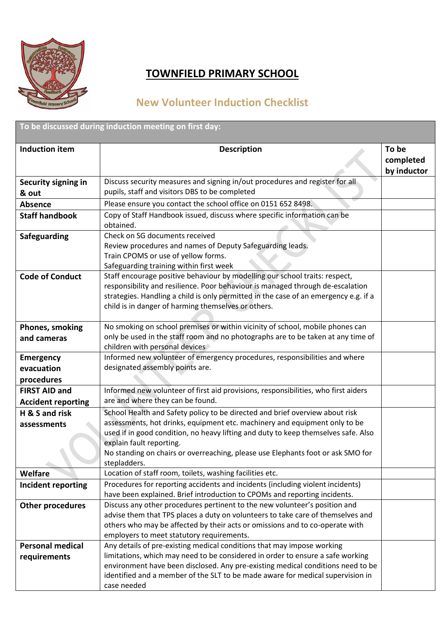

### **TOWNFIELD PRIMARY SCHOOL**

### **New Volunteer Induction Checklist**

| To be discussed during induction meeting on first day: |                                                                                                                                                                                                                                                                                                                                                                                 |                                   |
|--------------------------------------------------------|---------------------------------------------------------------------------------------------------------------------------------------------------------------------------------------------------------------------------------------------------------------------------------------------------------------------------------------------------------------------------------|-----------------------------------|
| <b>Induction item</b>                                  | <b>Description</b>                                                                                                                                                                                                                                                                                                                                                              | To be<br>completed<br>by inductor |
| Security signing in<br>& out                           | Discuss security measures and signing in/out procedures and register for all<br>pupils, staff and visitors DBS to be completed                                                                                                                                                                                                                                                  |                                   |
| <b>Absence</b>                                         | Please ensure you contact the school office on 0151 652 8498.                                                                                                                                                                                                                                                                                                                   |                                   |
| <b>Staff handbook</b>                                  | Copy of Staff Handbook issued, discuss where specific information can be                                                                                                                                                                                                                                                                                                        |                                   |
|                                                        | obtained.                                                                                                                                                                                                                                                                                                                                                                       |                                   |
| <b>Safeguarding</b>                                    | Check on SG documents received<br>Review procedures and names of Deputy Safeguarding leads.<br>Train CPOMS or use of yellow forms.<br>Safeguarding training within first week                                                                                                                                                                                                   |                                   |
| <b>Code of Conduct</b>                                 | Staff encourage positive behaviour by modelling our school traits: respect,<br>responsibility and resilience. Poor behaviour is managed through de-escalation<br>strategies. Handling a child is only permitted in the case of an emergency e.g. if a<br>child is in danger of harming themselves or others.                                                                    |                                   |
| Phones, smoking<br>and cameras                         | No smoking on school premises or within vicinity of school, mobile phones can<br>only be used in the staff room and no photographs are to be taken at any time of<br>children with personal devices                                                                                                                                                                             |                                   |
| <b>Emergency</b><br>evacuation<br>procedures           | Informed new volunteer of emergency procedures, responsibilities and where<br>designated assembly points are.                                                                                                                                                                                                                                                                   |                                   |
| <b>FIRST AID and</b><br><b>Accident reporting</b>      | Informed new volunteer of first aid provisions, responsibilities, who first aiders<br>are and where they can be found.                                                                                                                                                                                                                                                          |                                   |
| H & S and risk<br>assessments                          | School Health and Safety policy to be directed and brief overview about risk<br>assessments, hot drinks, equipment etc. machinery and equipment only to be<br>used if in good condition, no heavy lifting and duty to keep themselves safe. Also<br>explain fault reporting.<br>No standing on chairs or overreaching, please use Elephants foot or ask SMO for<br>stepladders. |                                   |
| <b>Welfare</b>                                         | Location of staff room, toilets, washing facilities etc.                                                                                                                                                                                                                                                                                                                        |                                   |
| Incident reporting                                     | Procedures for reporting accidents and incidents (including violent incidents)<br>have been explained. Brief introduction to CPOMs and reporting incidents.                                                                                                                                                                                                                     |                                   |
| <b>Other procedures</b>                                | Discuss any other procedures pertinent to the new volunteer's position and<br>advise them that TPS places a duty on volunteers to take care of themselves and<br>others who may be affected by their acts or omissions and to co-operate with<br>employers to meet statutory requirements.                                                                                      |                                   |
| <b>Personal medical</b><br>requirements                | Any details of pre-existing medical conditions that may impose working<br>limitations, which may need to be considered in order to ensure a safe working<br>environment have been disclosed. Any pre-existing medical conditions need to be<br>identified and a member of the SLT to be made aware for medical supervision in<br>case needed                                    |                                   |